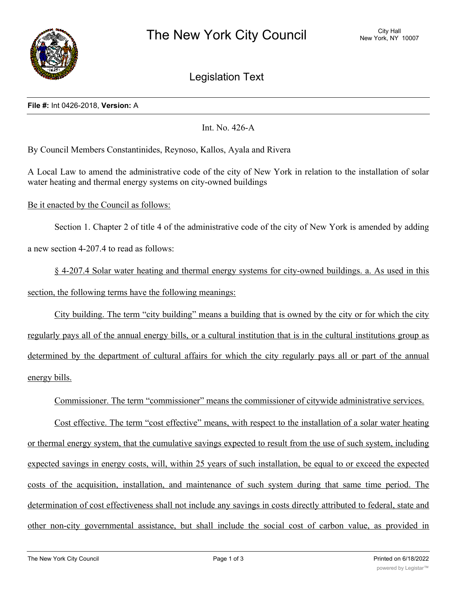

Legislation Text

## **File #:** Int 0426-2018, **Version:** A

Int. No. 426-A

By Council Members Constantinides, Reynoso, Kallos, Ayala and Rivera

A Local Law to amend the administrative code of the city of New York in relation to the installation of solar water heating and thermal energy systems on city-owned buildings

Be it enacted by the Council as follows:

Section 1. Chapter 2 of title 4 of the administrative code of the city of New York is amended by adding a new section 4-207.4 to read as follows:

§ 4-207.4 Solar water heating and thermal energy systems for city-owned buildings. a. As used in this section, the following terms have the following meanings:

City building. The term "city building" means a building that is owned by the city or for which the city regularly pays all of the annual energy bills, or a cultural institution that is in the cultural institutions group as determined by the department of cultural affairs for which the city regularly pays all or part of the annual energy bills.

Commissioner. The term "commissioner" means the commissioner of citywide administrative services.

Cost effective. The term "cost effective" means, with respect to the installation of a solar water heating or thermal energy system, that the cumulative savings expected to result from the use of such system, including expected savings in energy costs, will, within 25 years of such installation, be equal to or exceed the expected costs of the acquisition, installation, and maintenance of such system during that same time period. The determination of cost effectiveness shall not include any savings in costs directly attributed to federal, state and other non-city governmental assistance, but shall include the social cost of carbon value, as provided in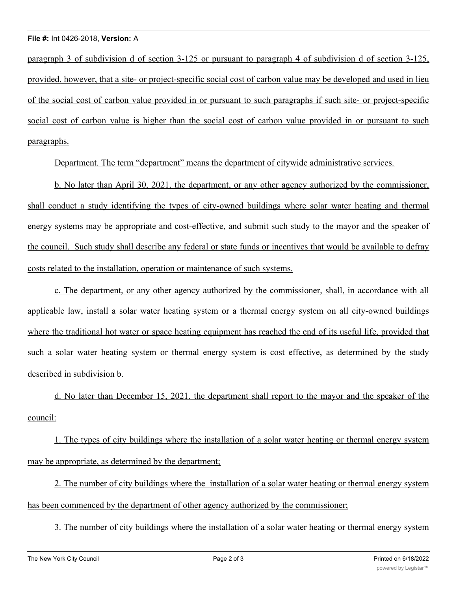paragraph 3 of subdivision d of section 3-125 or pursuant to paragraph 4 of subdivision d of section 3-125, provided, however, that a site- or project-specific social cost of carbon value may be developed and used in lieu of the social cost of carbon value provided in or pursuant to such paragraphs if such site- or project-specific social cost of carbon value is higher than the social cost of carbon value provided in or pursuant to such paragraphs.

Department. The term "department" means the department of citywide administrative services.

b. No later than April 30, 2021, the department, or any other agency authorized by the commissioner, shall conduct a study identifying the types of city-owned buildings where solar water heating and thermal energy systems may be appropriate and cost-effective, and submit such study to the mayor and the speaker of the council. Such study shall describe any federal or state funds or incentives that would be available to defray costs related to the installation, operation or maintenance of such systems.

c. The department, or any other agency authorized by the commissioner, shall, in accordance with all applicable law, install a solar water heating system or a thermal energy system on all city-owned buildings where the traditional hot water or space heating equipment has reached the end of its useful life, provided that such a solar water heating system or thermal energy system is cost effective, as determined by the study described in subdivision b.

d. No later than December 15, 2021, the department shall report to the mayor and the speaker of the council:

1. The types of city buildings where the installation of a solar water heating or thermal energy system may be appropriate, as determined by the department;

2. The number of city buildings where the installation of a solar water heating or thermal energy system has been commenced by the department of other agency authorized by the commissioner;

3. The number of city buildings where the installation of a solar water heating or thermal energy system